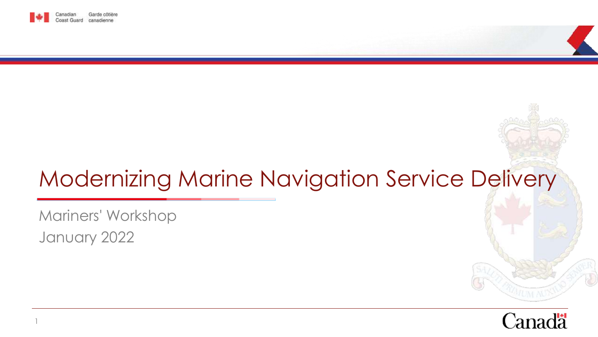

# Modernizing Marine Navigation Service Delivery

Mariners' Workshop January 2022

1

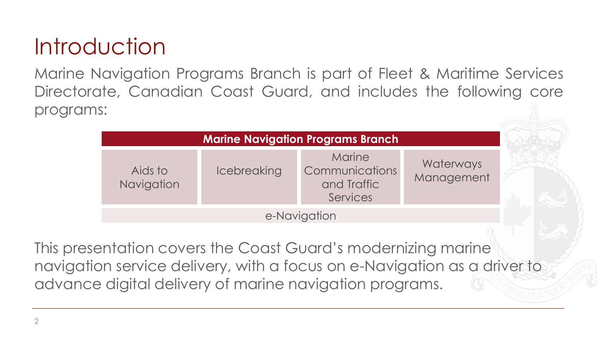### **Introduction**

Marine Navigation Programs Branch is part of Fleet & Maritime Services Directorate, Canadian Coast Guard, and includes the following core programs:

| <b>Marine Navigation Programs Branch</b> |                    |                                                     |                         |  |
|------------------------------------------|--------------------|-----------------------------------------------------|-------------------------|--|
| Aids to<br>Navigation                    | <b>Icebreaking</b> | Marine<br>Communications<br>and Traffic<br>Services | Waterways<br>Management |  |
|                                          |                    | e-Navigation                                        |                         |  |

This presentation covers the Coast Guard's modernizing marine navigation service delivery, with a focus on e-Navigation as a driver to advance digital delivery of marine navigation programs.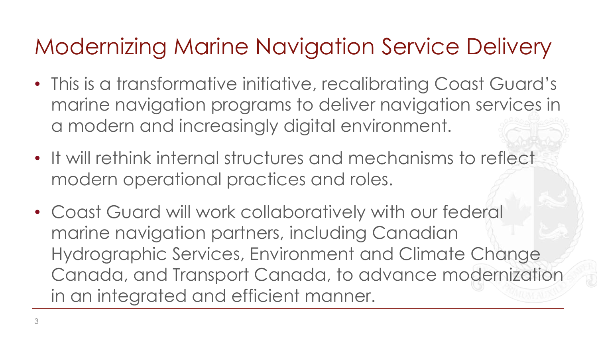### Modernizing Marine Navigation Service Delivery

- This is a transformative initiative, recalibrating Coast Guard's marine navigation programs to deliver navigation services in a modern and increasingly digital environment.
- It will rethink internal structures and mechanisms to reflect modern operational practices and roles.
- Coast Guard will work collaboratively with our federal marine navigation partners, including Canadian Hydrographic Services, Environment and Climate Change Canada, and Transport Canada, to advance modernization in an integrated and efficient manner.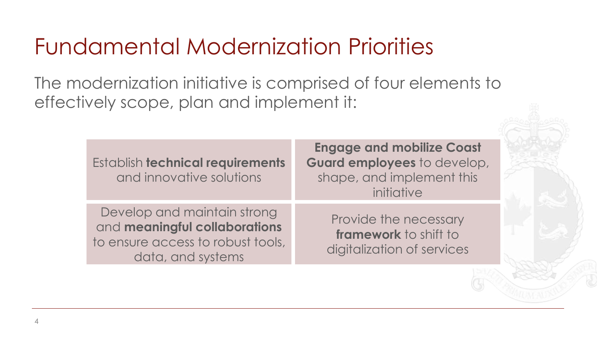### Fundamental Modernization Priorities

The modernization initiative is comprised of four elements to effectively scope, plan and implement it:

| Establish technical requirements<br>and innovative solutions                                                           | <b>Engage and mobilize Coast</b><br>Guard employees to develop,<br>shape, and implement this<br>initiative |
|------------------------------------------------------------------------------------------------------------------------|------------------------------------------------------------------------------------------------------------|
| Develop and maintain strong<br>and meaningful collaborations<br>to ensure access to robust tools,<br>data, and systems | Provide the necessary<br>framework to shift to<br>digitalization of services                               |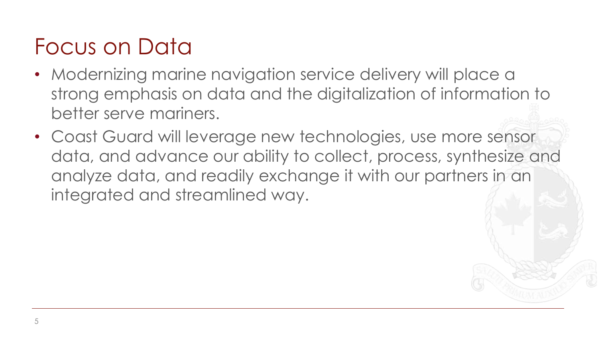### Focus on Data

- Modernizing marine navigation service delivery will place a strong emphasis on data and the digitalization of information to better serve mariners.
- Coast Guard will leverage new technologies, use more sensor data, and advance our ability to collect, process, synthesize and analyze data, and readily exchange it with our partners in an integrated and streamlined way.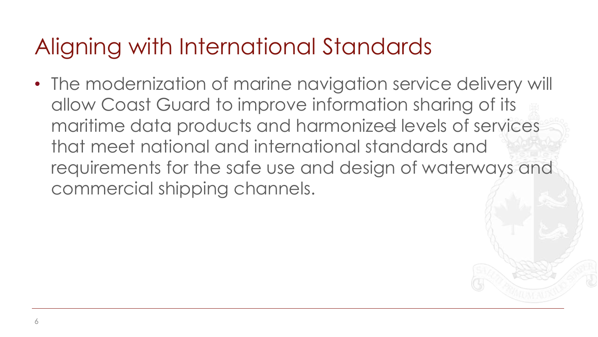### Aligning with International Standards

• The modernization of marine navigation service delivery will allow Coast Guard to improve information sharing of its maritime data products and harmonized levels of services that meet national and international standards and requirements for the safe use and design of waterways and commercial shipping channels.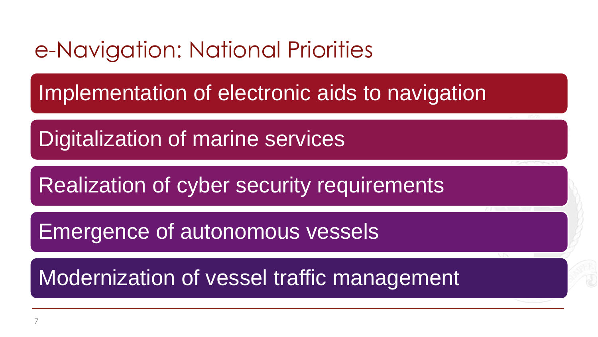#### e-Navigation: National Priorities

Implementation of electronic aids to navigation

Digitalization of marine services

Realization of cyber security requirements

Emergence of autonomous vessels

Modernization of vessel traffic management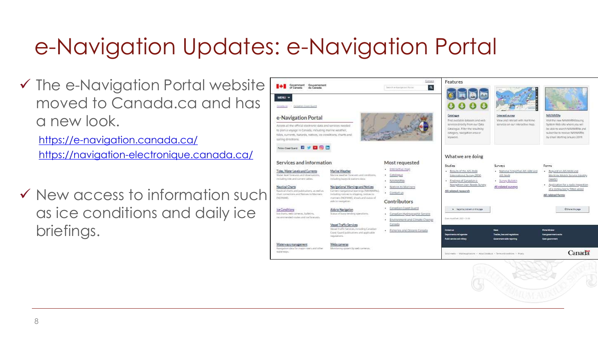### e-Navigation Updates: e-Navigation Portal

 $\checkmark$  The e-Navigation Portal website moved to Canada.ca and has a new look.

<https://e-navigation.canada.ca/> <https://navigation-electronique.canada.ca/>

✓ New access to information such as ice conditions and daily ice briefings.

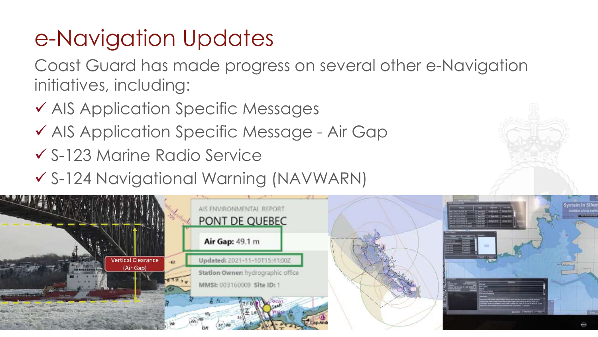## e-Navigation Updates

Coast Guard has made progress on several other e-Navigation initiatives, including:

- ✓ AIS Application Specific Messages
- ✓ AIS Application Specific Message Air Gap
- ✓ S-123 Marine Radio Service
- ✓ S-124 Navigational Warning (NAVWARN)

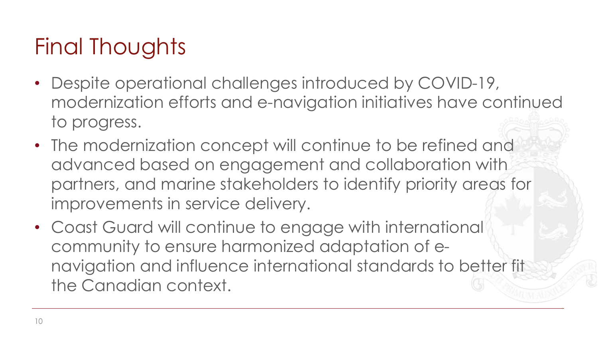## Final Thoughts

- Despite operational challenges introduced by COVID-19, modernization efforts and e-navigation initiatives have continued to progress.
- The modernization concept will continue to be refined and advanced based on engagement and collaboration with partners, and marine stakeholders to identify priority areas for improvements in service delivery.
- Coast Guard will continue to engage with international community to ensure harmonized adaptation of enavigation and influence international standards to better fit the Canadian context.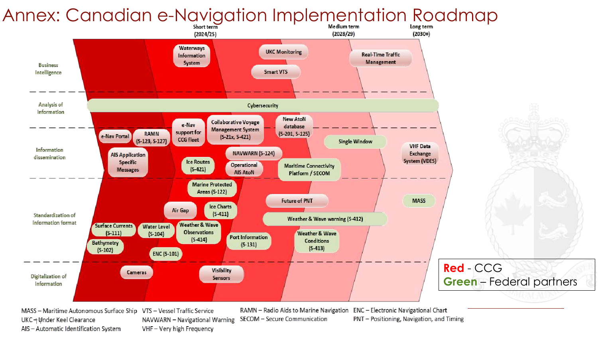#### Annex: Canadian e-Navigation Implementation Roadmap



VHF - Very high Frequency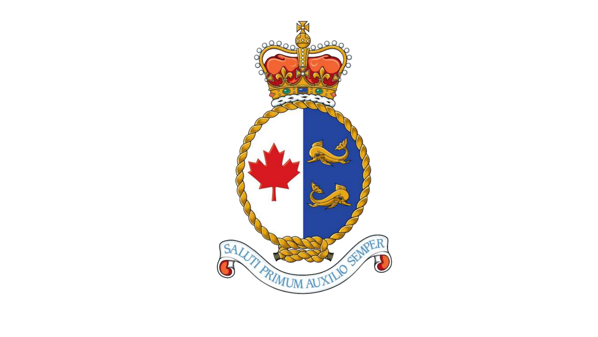